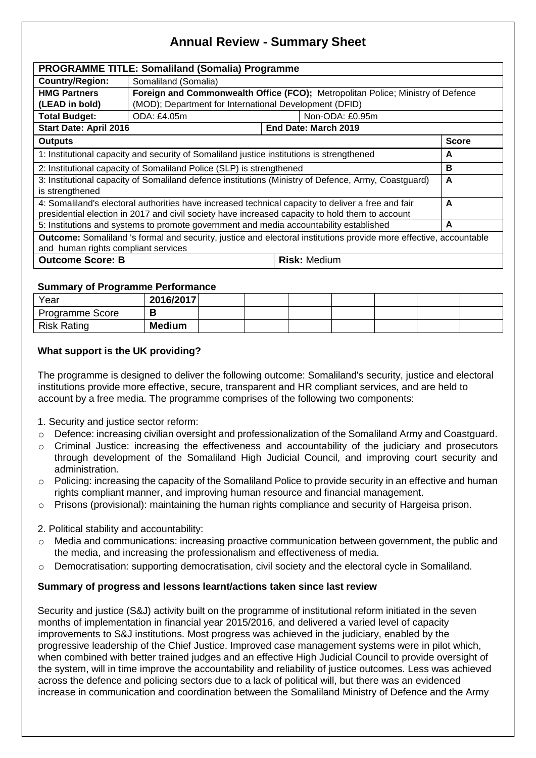# **Annual Review - Summary Sheet**

| <b>PROGRAMME TITLE: Somaliland (Somalia) Programme</b>                                                                    |                                                                                 |                      |  |  |  |  |  |  |
|---------------------------------------------------------------------------------------------------------------------------|---------------------------------------------------------------------------------|----------------------|--|--|--|--|--|--|
| <b>Country/Region:</b>                                                                                                    | Somaliland (Somalia)                                                            |                      |  |  |  |  |  |  |
| <b>HMG Partners</b>                                                                                                       | Foreign and Commonwealth Office (FCO); Metropolitan Police; Ministry of Defence |                      |  |  |  |  |  |  |
| (LEAD in bold)                                                                                                            | (MOD); Department for International Development (DFID)                          |                      |  |  |  |  |  |  |
| <b>Total Budget:</b>                                                                                                      | ODA: £4.05m<br>Non-ODA: £0.95m                                                  |                      |  |  |  |  |  |  |
| <b>Start Date: April 2016</b>                                                                                             |                                                                                 | End Date: March 2019 |  |  |  |  |  |  |
| <b>Outputs</b>                                                                                                            |                                                                                 |                      |  |  |  |  |  |  |
| 1: Institutional capacity and security of Somaliland justice institutions is strengthened                                 |                                                                                 |                      |  |  |  |  |  |  |
| 2: Institutional capacity of Somaliland Police (SLP) is strengthened                                                      |                                                                                 |                      |  |  |  |  |  |  |
| 3: Institutional capacity of Somaliland defence institutions (Ministry of Defence, Army, Coastguard)                      |                                                                                 |                      |  |  |  |  |  |  |
| is strengthened                                                                                                           |                                                                                 |                      |  |  |  |  |  |  |
| 4: Somaliland's electoral authorities have increased technical capacity to deliver a free and fair                        |                                                                                 |                      |  |  |  |  |  |  |
| presidential election in 2017 and civil society have increased capacity to hold them to account                           |                                                                                 |                      |  |  |  |  |  |  |
| 5: Institutions and systems to promote government and media accountability established                                    |                                                                                 |                      |  |  |  |  |  |  |
| <b>Outcome:</b> Somaliland 's formal and security, justice and electoral institutions provide more effective, accountable |                                                                                 |                      |  |  |  |  |  |  |
| and human rights compliant services                                                                                       |                                                                                 |                      |  |  |  |  |  |  |
| <b>Outcome Score: B</b>                                                                                                   |                                                                                 | <b>Risk: Medium</b>  |  |  |  |  |  |  |

## **Summary of Programme Performance**

| Year               | 2016/2017     |  |  |  |  |
|--------------------|---------------|--|--|--|--|
| Programme Score    |               |  |  |  |  |
| <b>Risk Rating</b> | <b>Medium</b> |  |  |  |  |

## **What support is the UK providing?**

The programme is designed to deliver the following outcome: Somaliland's security, justice and electoral institutions provide more effective, secure, transparent and HR compliant services, and are held to account by a free media. The programme comprises of the following two components:

- 1. Security and justice sector reform:
- o Defence: increasing civilian oversight and professionalization of the Somaliland Army and Coastguard.
- $\circ$  Criminal Justice: increasing the effectiveness and accountability of the judiciary and prosecutors through development of the Somaliland High Judicial Council, and improving court security and administration.
- $\circ$  Policing: increasing the capacity of the Somaliland Police to provide security in an effective and human rights compliant manner, and improving human resource and financial management.
- $\circ$  Prisons (provisional): maintaining the human rights compliance and security of Hargeisa prison.

## 2. Political stability and accountability:

- $\circ$  Media and communications: increasing proactive communication between government, the public and the media, and increasing the professionalism and effectiveness of media.
- $\circ$  Democratisation: supporting democratisation, civil society and the electoral cycle in Somaliland.

## **Summary of progress and lessons learnt/actions taken since last review**

Security and justice (S&J) activity built on the programme of institutional reform initiated in the seven months of implementation in financial year 2015/2016, and delivered a varied level of capacity improvements to S&J institutions. Most progress was achieved in the judiciary, enabled by the progressive leadership of the Chief Justice. Improved case management systems were in pilot which, when combined with better trained judges and an effective High Judicial Council to provide oversight of the system, will in time improve the accountability and reliability of justice outcomes. Less was achieved across the defence and policing sectors due to a lack of political will, but there was an evidenced increase in communication and coordination between the Somaliland Ministry of Defence and the Army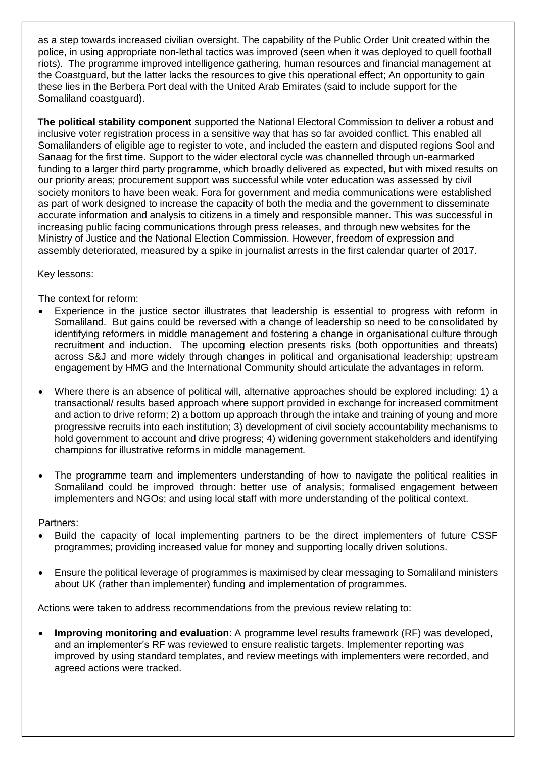as a step towards increased civilian oversight. The capability of the Public Order Unit created within the police, in using appropriate non-lethal tactics was improved (seen when it was deployed to quell football riots). The programme improved intelligence gathering, human resources and financial management at the Coastguard, but the latter lacks the resources to give this operational effect; An opportunity to gain these lies in the Berbera Port deal with the United Arab Emirates (said to include support for the Somaliland coastguard).

**The political stability component** supported the National Electoral Commission to deliver a robust and inclusive voter registration process in a sensitive way that has so far avoided conflict. This enabled all Somalilanders of eligible age to register to vote, and included the eastern and disputed regions Sool and Sanaag for the first time. Support to the wider electoral cycle was channelled through un-earmarked funding to a larger third party programme, which broadly delivered as expected, but with mixed results on our priority areas; procurement support was successful while voter education was assessed by civil society monitors to have been weak. Fora for government and media communications were established as part of work designed to increase the capacity of both the media and the government to disseminate accurate information and analysis to citizens in a timely and responsible manner. This was successful in increasing public facing communications through press releases, and through new websites for the Ministry of Justice and the National Election Commission. However, freedom of expression and assembly deteriorated, measured by a spike in journalist arrests in the first calendar quarter of 2017.

Key lessons:

The context for reform:

- Experience in the justice sector illustrates that leadership is essential to progress with reform in Somaliland. But gains could be reversed with a change of leadership so need to be consolidated by identifying reformers in middle management and fostering a change in organisational culture through recruitment and induction. The upcoming election presents risks (both opportunities and threats) across S&J and more widely through changes in political and organisational leadership; upstream engagement by HMG and the International Community should articulate the advantages in reform.
- Where there is an absence of political will, alternative approaches should be explored including: 1) a transactional/ results based approach where support provided in exchange for increased commitment and action to drive reform; 2) a bottom up approach through the intake and training of young and more progressive recruits into each institution; 3) development of civil society accountability mechanisms to hold government to account and drive progress; 4) widening government stakeholders and identifying champions for illustrative reforms in middle management.
- The programme team and implementers understanding of how to navigate the political realities in Somaliland could be improved through: better use of analysis; formalised engagement between implementers and NGOs; and using local staff with more understanding of the political context.

Partners:

- Build the capacity of local implementing partners to be the direct implementers of future CSSF programmes; providing increased value for money and supporting locally driven solutions.
- Ensure the political leverage of programmes is maximised by clear messaging to Somaliland ministers about UK (rather than implementer) funding and implementation of programmes.

Actions were taken to address recommendations from the previous review relating to:

 **Improving monitoring and evaluation**: A programme level results framework (RF) was developed, and an implementer's RF was reviewed to ensure realistic targets. Implementer reporting was improved by using standard templates, and review meetings with implementers were recorded, and agreed actions were tracked.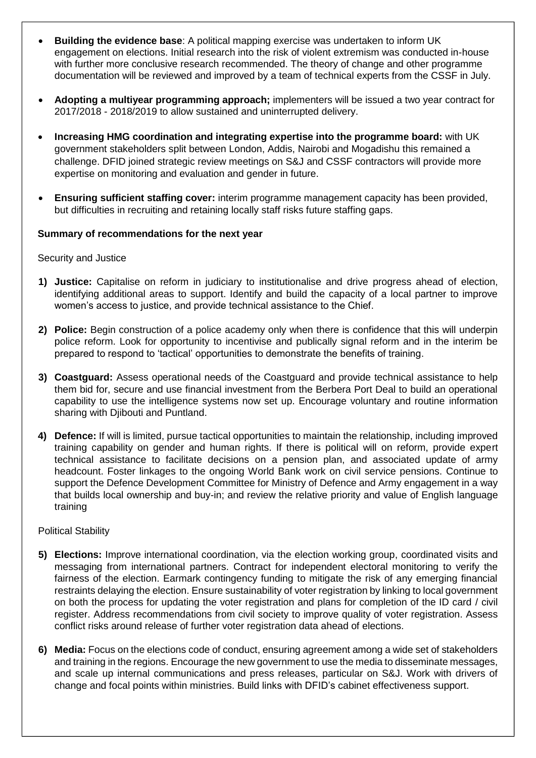- **Building the evidence base**: A political mapping exercise was undertaken to inform UK engagement on elections. Initial research into the risk of violent extremism was conducted in-house with further more conclusive research recommended. The theory of change and other programme documentation will be reviewed and improved by a team of technical experts from the CSSF in July.
- **Adopting a multiyear programming approach;** implementers will be issued a two year contract for 2017/2018 - 2018/2019 to allow sustained and uninterrupted delivery.
- **Increasing HMG coordination and integrating expertise into the programme board:** with UK government stakeholders split between London, Addis, Nairobi and Mogadishu this remained a challenge. DFID joined strategic review meetings on S&J and CSSF contractors will provide more expertise on monitoring and evaluation and gender in future.
- **Ensuring sufficient staffing cover:** interim programme management capacity has been provided, but difficulties in recruiting and retaining locally staff risks future staffing gaps.

## **Summary of recommendations for the next year**

Security and Justice

- **1) Justice:** Capitalise on reform in judiciary to institutionalise and drive progress ahead of election, identifying additional areas to support. Identify and build the capacity of a local partner to improve women's access to justice, and provide technical assistance to the Chief.
- **2) Police:** Begin construction of a police academy only when there is confidence that this will underpin police reform. Look for opportunity to incentivise and publically signal reform and in the interim be prepared to respond to 'tactical' opportunities to demonstrate the benefits of training.
- **3) Coastguard:** Assess operational needs of the Coastguard and provide technical assistance to help them bid for, secure and use financial investment from the Berbera Port Deal to build an operational capability to use the intelligence systems now set up. Encourage voluntary and routine information sharing with Djibouti and Puntland.
- **4) Defence:** If will is limited, pursue tactical opportunities to maintain the relationship, including improved training capability on gender and human rights. If there is political will on reform, provide expert technical assistance to facilitate decisions on a pension plan, and associated update of army headcount. Foster linkages to the ongoing World Bank work on civil service pensions. Continue to support the Defence Development Committee for Ministry of Defence and Army engagement in a way that builds local ownership and buy-in; and review the relative priority and value of English language training

## Political Stability

- **5) Elections:** Improve international coordination, via the election working group, coordinated visits and messaging from international partners. Contract for independent electoral monitoring to verify the fairness of the election. Earmark contingency funding to mitigate the risk of any emerging financial restraints delaying the election. Ensure sustainability of voter registration by linking to local government on both the process for updating the voter registration and plans for completion of the ID card / civil register. Address recommendations from civil society to improve quality of voter registration. Assess conflict risks around release of further voter registration data ahead of elections.
- **6) Media:** Focus on the elections code of conduct, ensuring agreement among a wide set of stakeholders and training in the regions. Encourage the new government to use the media to disseminate messages, and scale up internal communications and press releases, particular on S&J. Work with drivers of change and focal points within ministries. Build links with DFID's cabinet effectiveness support.